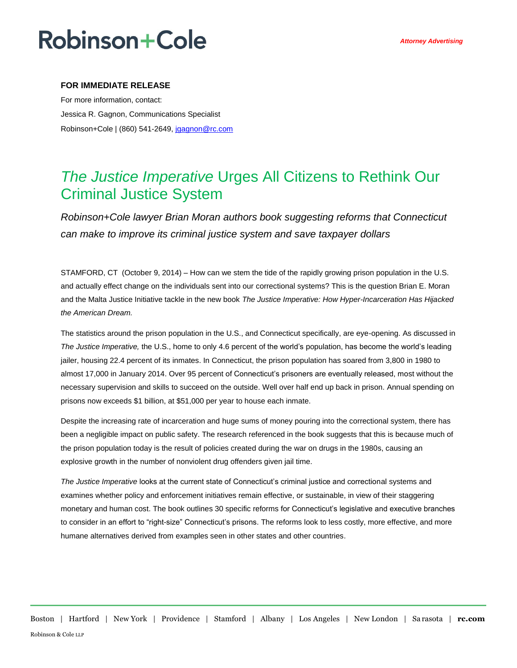## **Robinson+Cole**

### **FOR IMMEDIATE RELEASE**

For more information, contact: Jessica R. Gagnon, Communications Specialist Robinson+Cole | (860) 541-2649[, jgagnon@rc.com](mailto:jgagnon@rc.com)

### *The Justice Imperative* Urges All Citizens to Rethink Our Criminal Justice System

*Robinson+Cole lawyer Brian Moran authors book suggesting reforms that Connecticut can make to improve its criminal justice system and save taxpayer dollars*

STAMFORD, CT (October 9, 2014) – How can we stem the tide of the rapidly growing prison population in the U.S. and actually effect change on the individuals sent into our correctional systems? This is the question Brian E. Moran and the Malta Justice Initiative tackle in the new book *The Justice Imperative: How Hyper-Incarceration Has Hijacked the American Dream.*

The statistics around the prison population in the U.S., and Connecticut specifically, are eye-opening. As discussed in *The Justice Imperative,* the U.S., home to only 4.6 percent of the world's population, has become the world's leading jailer, housing 22.4 percent of its inmates. In Connecticut, the prison population has soared from 3,800 in 1980 to almost 17,000 in January 2014. Over 95 percent of Connecticut's prisoners are eventually released, most without the necessary supervision and skills to succeed on the outside. Well over half end up back in prison. Annual spending on prisons now exceeds \$1 billion, at \$51,000 per year to house each inmate.

Despite the increasing rate of incarceration and huge sums of money pouring into the correctional system, there has been a negligible impact on public safety. The research referenced in the book suggests that this is because much of the prison population today is the result of policies created during the war on drugs in the 1980s, causing an explosive growth in the number of nonviolent drug offenders given jail time.

*The Justice Imperative* looks at the current state of Connecticut's criminal justice and correctional systems and examines whether policy and enforcement initiatives remain effective, or sustainable, in view of their staggering monetary and human cost. The book outlines 30 specific reforms for Connecticut's legislative and executive branches to consider in an effort to "right-size" Connecticut's prisons. The reforms look to less costly, more effective, and more humane alternatives derived from examples seen in other states and other countries.